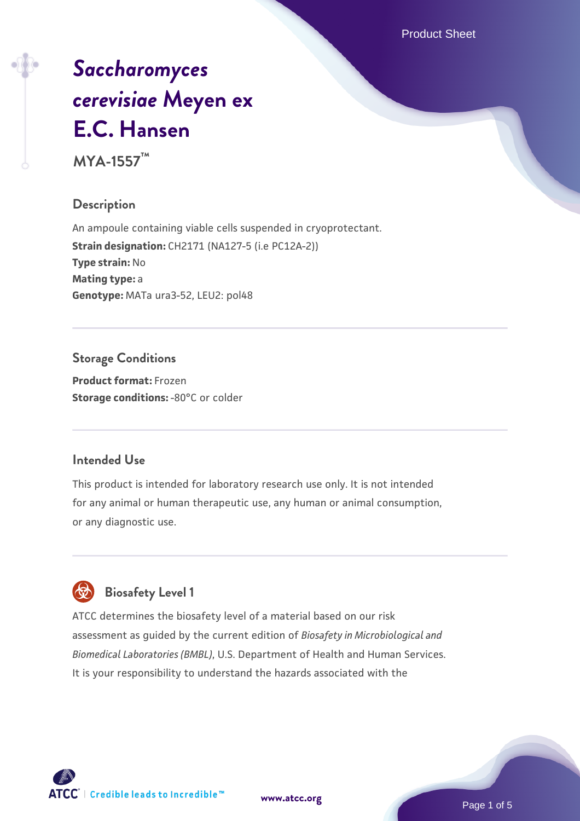Product Sheet

# *[Saccharomyces](https://www.atcc.org/products/mya-1557) [cerevisiae](https://www.atcc.org/products/mya-1557)* **[Meyen ex](https://www.atcc.org/products/mya-1557) [E.C. Hansen](https://www.atcc.org/products/mya-1557)**

**MYA-1557™**

# **Description**

An ampoule containing viable cells suspended in cryoprotectant. **Strain designation:** CH2171 (NA127-5 (i.e PC12A-2)) **Type strain:** No **Mating type:** a **Genotype:** MATa ura3-52, LEU2: pol48

# **Storage Conditions**

**Product format:** Frozen **Storage conditions: -80°C or colder** 

# **Intended Use**

This product is intended for laboratory research use only. It is not intended for any animal or human therapeutic use, any human or animal consumption, or any diagnostic use.

# **Biosafety Level 1**

ATCC determines the biosafety level of a material based on our risk assessment as guided by the current edition of *Biosafety in Microbiological and Biomedical Laboratories (BMBL)*, U.S. Department of Health and Human Services. It is your responsibility to understand the hazards associated with the

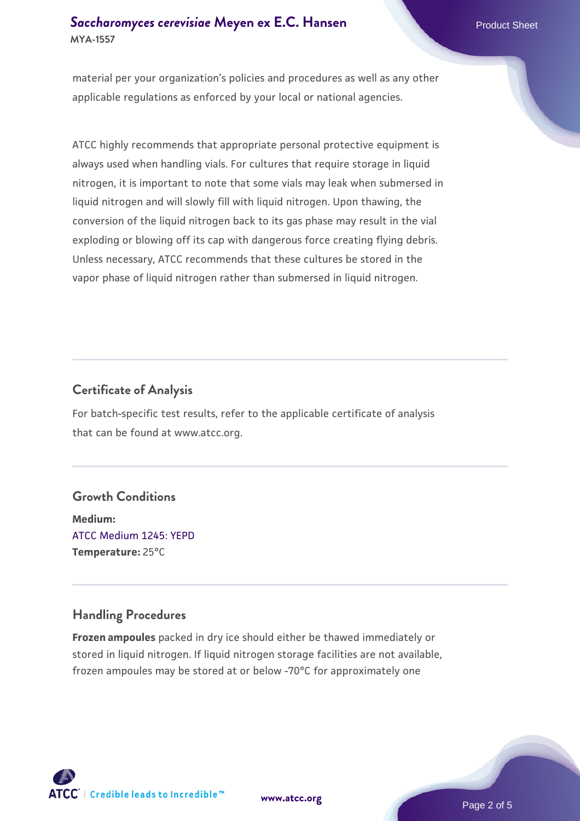# **[Saccharomyces cerevisiae](https://www.atcc.org/products/mya-1557)** [Meyen ex E.C. Hansen](https://www.atcc.org/products/mya-1557) **MYA-1557**

material per your organization's policies and procedures as well as any other applicable regulations as enforced by your local or national agencies.

ATCC highly recommends that appropriate personal protective equipment is always used when handling vials. For cultures that require storage in liquid nitrogen, it is important to note that some vials may leak when submersed in liquid nitrogen and will slowly fill with liquid nitrogen. Upon thawing, the conversion of the liquid nitrogen back to its gas phase may result in the vial exploding or blowing off its cap with dangerous force creating flying debris. Unless necessary, ATCC recommends that these cultures be stored in the vapor phase of liquid nitrogen rather than submersed in liquid nitrogen.

# **Certificate of Analysis**

For batch-specific test results, refer to the applicable certificate of analysis that can be found at www.atcc.org.

#### **Growth Conditions**

**Medium:**  [ATCC Medium 1245: YEPD](https://www.atcc.org/-/media/product-assets/documents/microbial-media-formulations/1/2/4/5/atcc-medium-1245.pdf?rev=705ca55d1b6f490a808a965d5c072196) **Temperature:** 25°C

# **Handling Procedures**

**Frozen ampoules** packed in dry ice should either be thawed immediately or stored in liquid nitrogen. If liquid nitrogen storage facilities are not available, frozen ampoules may be stored at or below -70°C for approximately one





Page 2 of 5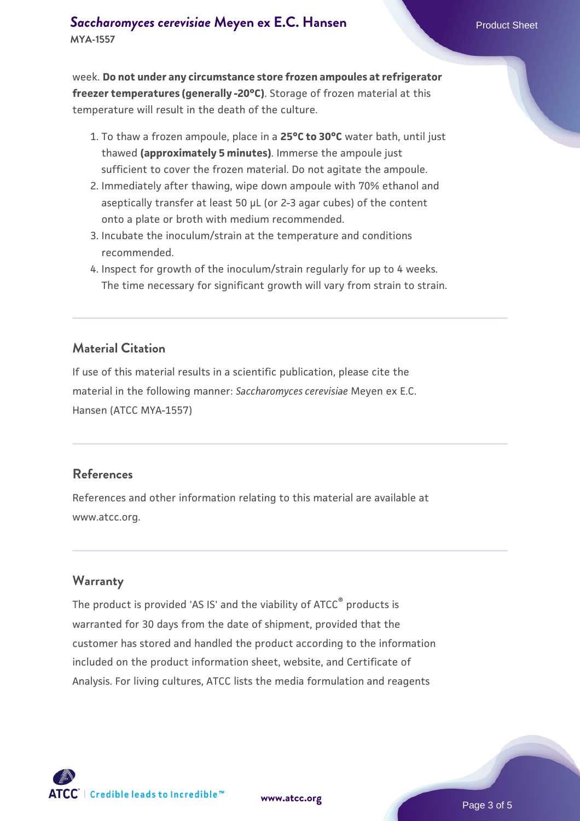week. **Do not under any circumstance store frozen ampoules at refrigerator freezer temperatures (generally -20°C)**. Storage of frozen material at this temperature will result in the death of the culture.

- 1. To thaw a frozen ampoule, place in a **25°C to 30°C** water bath, until just thawed **(approximately 5 minutes)**. Immerse the ampoule just sufficient to cover the frozen material. Do not agitate the ampoule.
- 2. Immediately after thawing, wipe down ampoule with 70% ethanol and aseptically transfer at least 50 µL (or 2-3 agar cubes) of the content onto a plate or broth with medium recommended.
- Incubate the inoculum/strain at the temperature and conditions 3. recommended.
- 4. Inspect for growth of the inoculum/strain regularly for up to 4 weeks. The time necessary for significant growth will vary from strain to strain.

#### **Material Citation**

If use of this material results in a scientific publication, please cite the material in the following manner: *Saccharomyces cerevisiae* Meyen ex E.C. Hansen (ATCC MYA-1557)

#### **References**

References and other information relating to this material are available at www.atcc.org.

#### **Warranty**

The product is provided 'AS IS' and the viability of ATCC® products is warranted for 30 days from the date of shipment, provided that the customer has stored and handled the product according to the information included on the product information sheet, website, and Certificate of Analysis. For living cultures, ATCC lists the media formulation and reagents

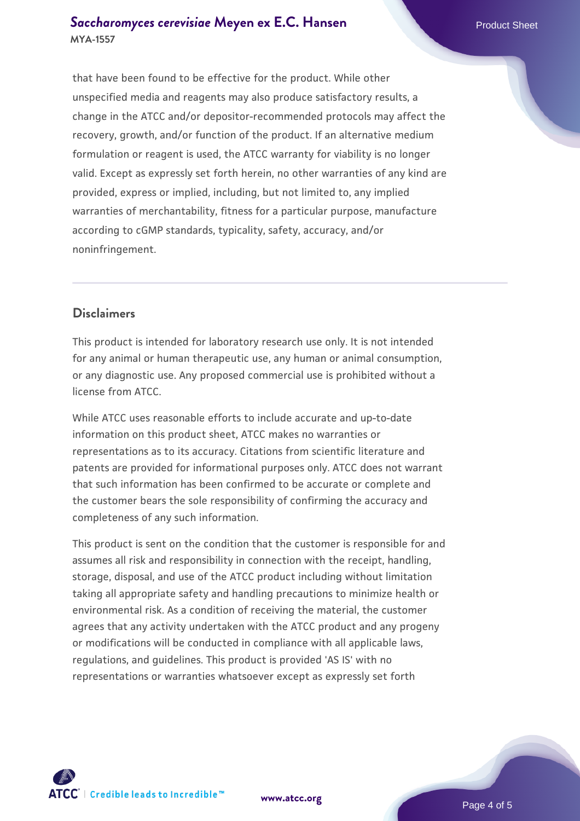#### **[Saccharomyces cerevisiae](https://www.atcc.org/products/mya-1557)** [Meyen ex E.C. Hansen](https://www.atcc.org/products/mya-1557) **MYA-1557**

that have been found to be effective for the product. While other unspecified media and reagents may also produce satisfactory results, a change in the ATCC and/or depositor-recommended protocols may affect the recovery, growth, and/or function of the product. If an alternative medium formulation or reagent is used, the ATCC warranty for viability is no longer valid. Except as expressly set forth herein, no other warranties of any kind are provided, express or implied, including, but not limited to, any implied warranties of merchantability, fitness for a particular purpose, manufacture according to cGMP standards, typicality, safety, accuracy, and/or noninfringement.

# **Disclaimers**

This product is intended for laboratory research use only. It is not intended for any animal or human therapeutic use, any human or animal consumption, or any diagnostic use. Any proposed commercial use is prohibited without a license from ATCC.

While ATCC uses reasonable efforts to include accurate and up-to-date information on this product sheet, ATCC makes no warranties or representations as to its accuracy. Citations from scientific literature and patents are provided for informational purposes only. ATCC does not warrant that such information has been confirmed to be accurate or complete and the customer bears the sole responsibility of confirming the accuracy and completeness of any such information.

This product is sent on the condition that the customer is responsible for and assumes all risk and responsibility in connection with the receipt, handling, storage, disposal, and use of the ATCC product including without limitation taking all appropriate safety and handling precautions to minimize health or environmental risk. As a condition of receiving the material, the customer agrees that any activity undertaken with the ATCC product and any progeny or modifications will be conducted in compliance with all applicable laws, regulations, and guidelines. This product is provided 'AS IS' with no representations or warranties whatsoever except as expressly set forth